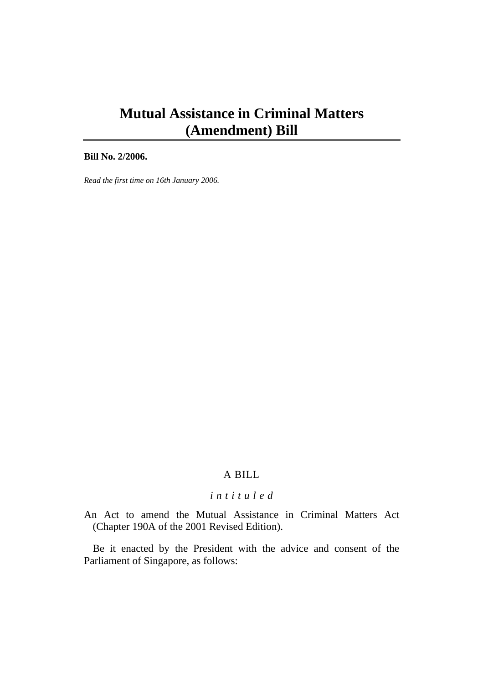# **Mutual Assistance in Criminal Matters (Amendment) Bill**

**Bill No. 2/2006.** 

*Read the first time on 16th January 2006.* 

## A BILL

## *i n t i t u l e d*

An Act to amend the Mutual Assistance in Criminal Matters Act (Chapter 190A of the 2001 Revised Edition).

Be it enacted by the President with the advice and consent of the Parliament of Singapore, as follows: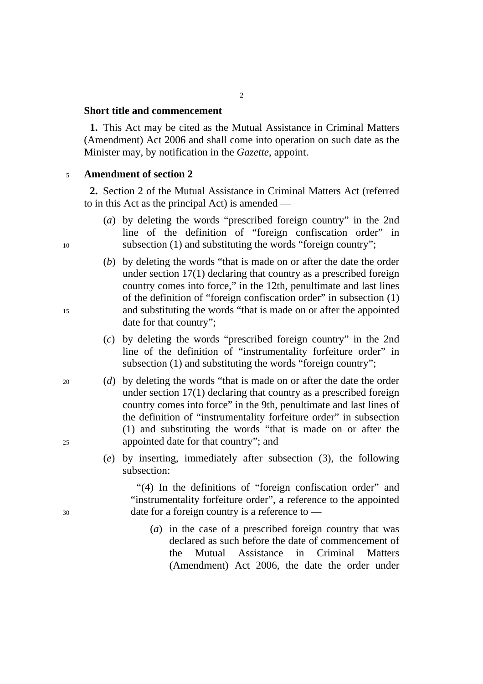#### **Short title and commencement**

**1.** This Act may be cited as the Mutual Assistance in Criminal Matters (Amendment) Act 2006 and shall come into operation on such date as the Minister may, by notification in the *Gazette*, appoint.

## <sup>5</sup>**Amendment of section 2**

**2.** Section 2 of the Mutual Assistance in Criminal Matters Act (referred to in this Act as the principal Act) is amended —

- (*a*) by deleting the words "prescribed foreign country" in the 2nd line of the definition of "foreign confiscation order" in 10 subsection (1) and substituting the words "foreign country";
- (*b*) by deleting the words "that is made on or after the date the order under section 17(1) declaring that country as a prescribed foreign country comes into force," in the 12th, penultimate and last lines of the definition of "foreign confiscation order" in subsection (1) 15 and substituting the words "that is made on or after the appointed date for that country";
	- (*c*) by deleting the words "prescribed foreign country" in the 2nd line of the definition of "instrumentality forfeiture order" in subsection (1) and substituting the words "foreign country";
- 20 (*d*) by deleting the words "that is made on or after the date the order under section 17(1) declaring that country as a prescribed foreign country comes into force" in the 9th, penultimate and last lines of the definition of "instrumentality forfeiture order" in subsection (1) and substituting the words "that is made on or after the 25 appointed date for that country"; and
	- (*e*) by inserting, immediately after subsection (3), the following subsection:

"(4) In the definitions of "foreign confiscation order" and "instrumentality forfeiture order", a reference to the appointed 30 date for a foreign country is a reference to —

> (*a*) in the case of a prescribed foreign country that was declared as such before the date of commencement of the Mutual Assistance in Criminal Matters (Amendment) Act 2006, the date the order under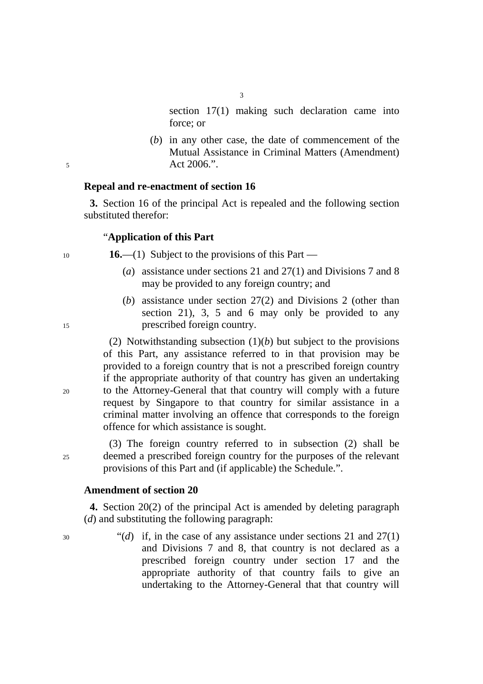section 17(1) making such declaration came into force; or

(*b*) in any other case, the date of commencement of the Mutual Assistance in Criminal Matters (Amendment) 5 Act 2006.".

#### **Repeal and re-enactment of section 16**

**3.** Section 16 of the principal Act is repealed and the following section substituted therefor:

3

#### "**Application of this Part**

<sup>10</sup>**16.**—(1) Subject to the provisions of this Part —

- (*a*) assistance under sections 21 and 27(1) and Divisions 7 and 8 may be provided to any foreign country; and
- (*b*) assistance under section 27(2) and Divisions 2 (other than section 21), 3, 5 and 6 may only be provided to any 15 prescribed foreign country.

(2) Notwithstanding subsection (1)(*b*) but subject to the provisions of this Part, any assistance referred to in that provision may be provided to a foreign country that is not a prescribed foreign country if the appropriate authority of that country has given an undertaking 20 to the Attorney-General that that country will comply with a future request by Singapore to that country for similar assistance in a criminal matter involving an offence that corresponds to the foreign offence for which assistance is sought.

(3) The foreign country referred to in subsection (2) shall be 25 deemed a prescribed foreign country for the purposes of the relevant provisions of this Part and (if applicable) the Schedule.".

### **Amendment of section 20**

**4.** Section 20(2) of the principal Act is amended by deleting paragraph (*d*) and substituting the following paragraph:

30 "(*d*) if, in the case of any assistance under sections 21 and 27(1) and Divisions 7 and 8, that country is not declared as a prescribed foreign country under section 17 and the appropriate authority of that country fails to give an undertaking to the Attorney-General that that country will